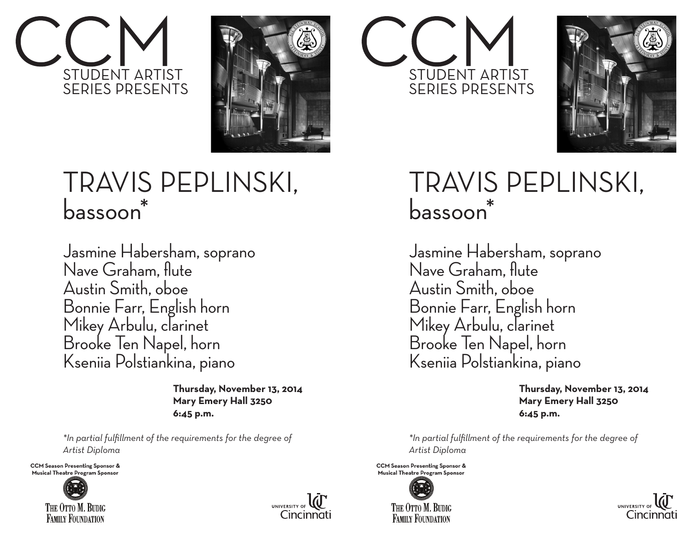



## TRAVIS PEPLINSKI, bassoon<sup>\*</sup>

Jasmine Habersham, soprano Nave Graham, flute Austin Smith, oboe Bonnie Farr, English horn Mikey Arbulu, clarinet Brooke Ten Napel, horn Kseniia Polstiankina, piano

> **Thursday, November 13, 2014 Mary Emery Hall 3250 6:45 p.m.**

*\*In partial fulfillment of the requirements for the degree of Artist Diploma*

**CCM Season Presenting Sponsor &** Musical Theatre Program Sponsor